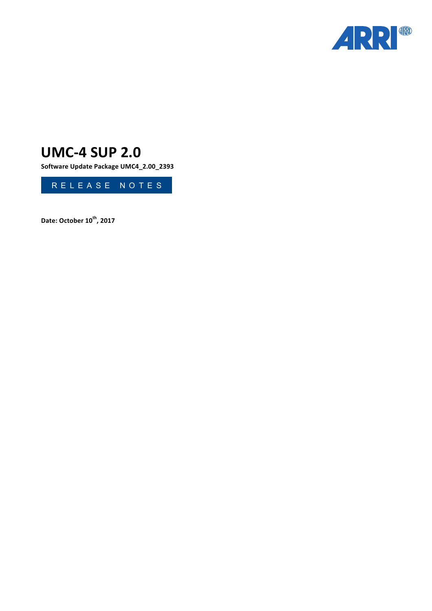

# **UMC-4 SUP 2.0**

Software Update Package UMC4\_2.00\_2393



**Date: October 10th, 2017**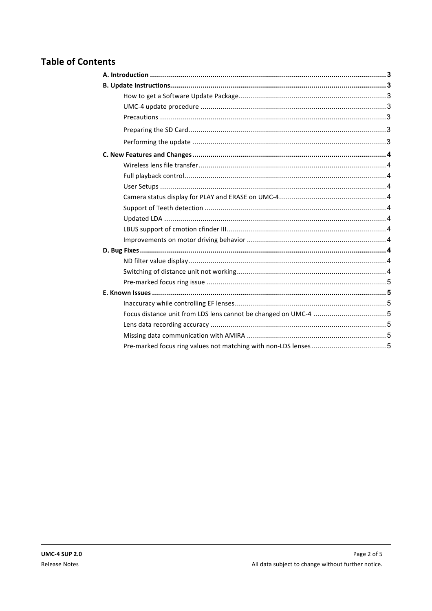# **Table of Contents**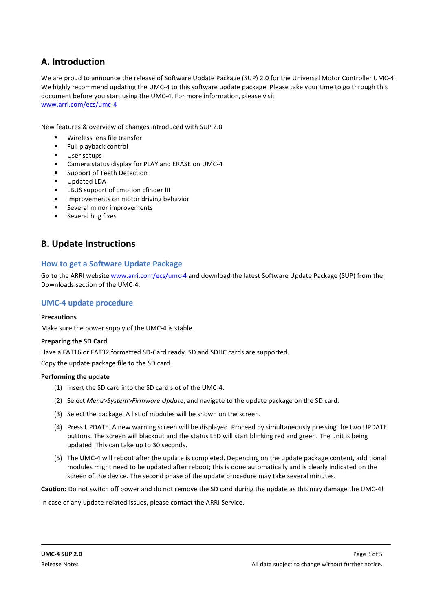# **A. Introduction**

We are proud to announce the release of Software Update Package (SUP) 2.0 for the Universal Motor Controller UMC-4. We highly recommend updating the UMC-4 to this software update package. Please take your time to go through this document before you start using the UMC-4. For more information, please visit www.arri.com/ecs/umc-4

New features & overview of changes introduced with SUP 2.0

- Wireless lens file transfer
- **Full playback control**
- User setups
- Camera status display for PLAY and ERASE on UMC-4
- Support of Teeth Detection
- Updated LDA
- LBUS support of cmotion cfinder III
- **■** Improvements on motor driving behavior
- Several minor improvements
- Several bug fixes

# **B. Update Instructions**

# **How to get a Software Update Package**

Go to the ARRI website www.arri.com/ecs/umc-4 and download the latest Software Update Package (SUP) from the Downloads section of the UMC-4.

# **UMC-4 update procedure**

# **Precautions**

Make sure the power supply of the UMC-4 is stable.

# **Preparing the SD Card**

Have a FAT16 or FAT32 formatted SD-Card ready. SD and SDHC cards are supported.

Copy the update package file to the SD card.

# **Performing the update**

- (1) Insert the SD card into the SD card slot of the UMC-4.
- (2) Select *Menu>System>Firmware Update*, and navigate to the update package on the SD card.
- (3) Select the package. A list of modules will be shown on the screen.
- (4) Press UPDATE. A new warning screen will be displayed. Proceed by simultaneously pressing the two UPDATE buttons. The screen will blackout and the status LED will start blinking red and green. The unit is being updated. This can take up to 30 seconds.
- (5) The UMC-4 will reboot after the update is completed. Depending on the update package content, additional modules might need to be updated after reboot; this is done automatically and is clearly indicated on the screen of the device. The second phase of the update procedure may take several minutes.

**Caution:** Do not switch off power and do not remove the SD card during the update as this may damage the UMC-4!

In case of any update-related issues, please contact the ARRI Service.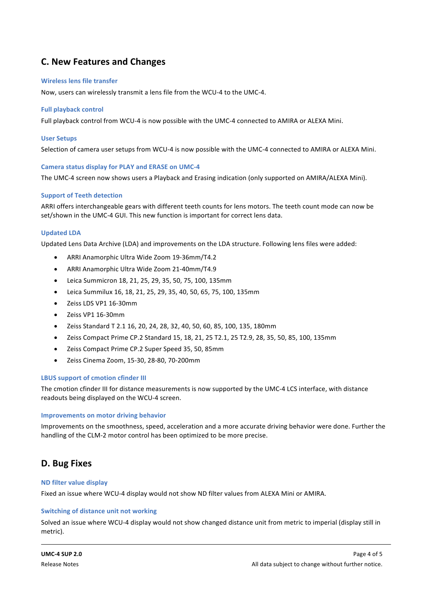# **C. New Features and Changes**

# **Wireless lens file transfer**

Now, users can wirelessly transmit a lens file from the WCU-4 to the UMC-4.

# **Full playback control**

Full playback control from WCU-4 is now possible with the UMC-4 connected to AMIRA or ALEXA Mini.

# **User Setups**

Selection of camera user setups from WCU-4 is now possible with the UMC-4 connected to AMIRA or ALEXA Mini.

# **Camera status display for PLAY and ERASE on UMC-4**

The UMC-4 screen now shows users a Playback and Erasing indication (only supported on AMIRA/ALEXA Mini).

# **Support of Teeth detection**

ARRI offers interchangeable gears with different teeth counts for lens motors. The teeth count mode can now be set/shown in the UMC-4 GUI. This new function is important for correct lens data.

# **Updated LDA**

Updated Lens Data Archive (LDA) and improvements on the LDA structure. Following lens files were added:

- ARRI Anamorphic Ultra Wide Zoom 19-36mm/T4.2
- ARRI Anamorphic Ultra Wide Zoom 21-40mm/T4.9
- Leica Summicron 18, 21, 25, 29, 35, 50, 75, 100, 135mm
- Leica Summilux 16, 18, 21, 25, 29, 35, 40, 50, 65, 75, 100, 135mm
- Zeiss LDS VP1 16-30mm
- Zeiss VP1 16-30mm
- Zeiss Standard T 2.1 16, 20, 24, 28, 32, 40, 50, 60, 85, 100, 135, 180mm
- Zeiss Compact Prime CP.2 Standard 15, 18, 21, 25 T2.1, 25 T2.9, 28, 35, 50, 85, 100, 135mm
- Zeiss Compact Prime CP.2 Super Speed 35, 50, 85mm
- Zeiss Cinema Zoom, 15-30, 28-80, 70-200mm

# **LBUS** support of cmotion cfinder III

The cmotion cfinder III for distance measurements is now supported by the UMC-4 LCS interface, with distance readouts being displayed on the WCU-4 screen.

# **Improvements on motor driving behavior**

Improvements on the smoothness, speed, acceleration and a more accurate driving behavior were done. Further the handling of the CLM-2 motor control has been optimized to be more precise.

# D. Bug Fixes

# **ND filter value display**

Fixed an issue where WCU-4 display would not show ND filter values from ALEXA Mini or AMIRA.

# **Switching of distance unit not working**

Solved an issue where WCU-4 display would not show changed distance unit from metric to imperial (display still in metric).